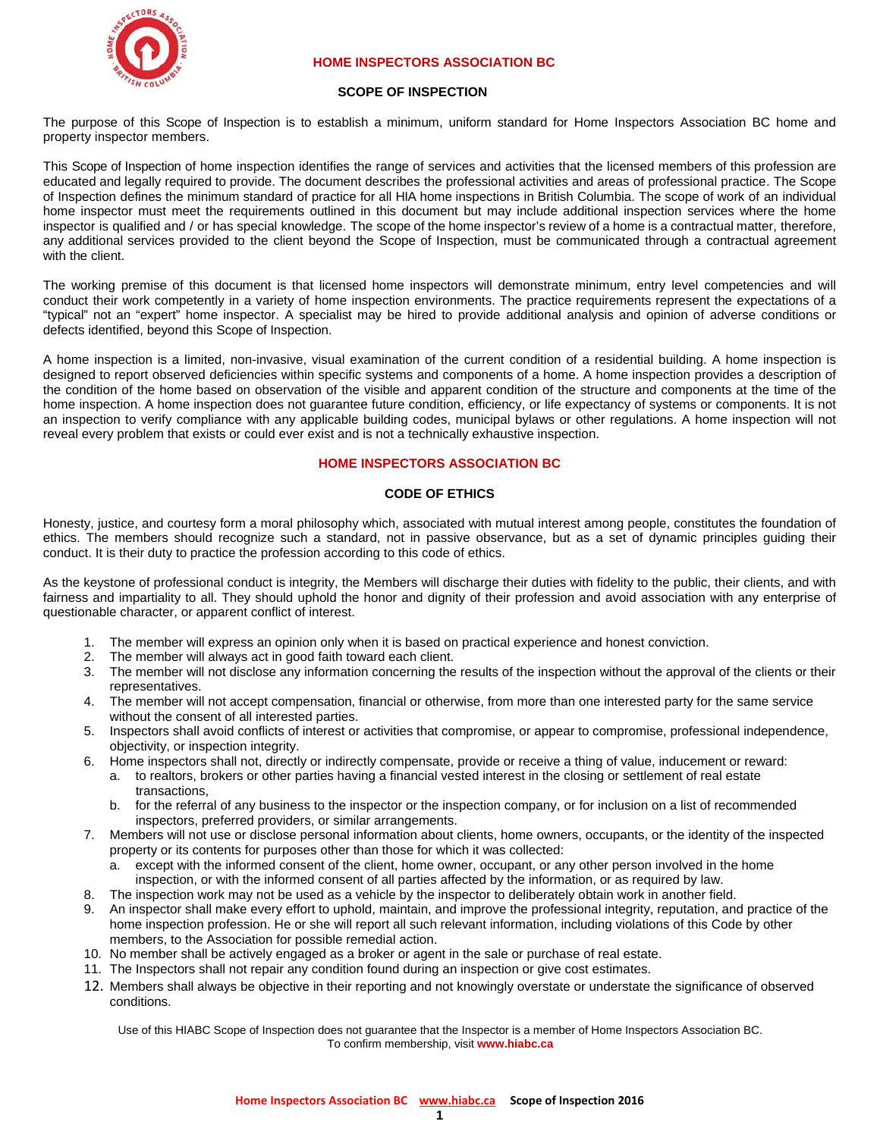

# **HOME INSPECTORS ASSOCIATION BC**

# **SCOPE OF INSPECTION**

The purpose of this Scope of Inspection is to establish a minimum, uniform standard for Home Inspectors Association BC home and property inspector members.

This Scope of Inspection of home inspection identifies the range of services and activities that the licensed members of this profession are educated and legally required to provide. The document describes the professional activities and areas of professional practice. The Scope of Inspection defines the minimum standard of practice for all HIA home inspections in British Columbia. The scope of work of an individual home inspector must meet the requirements outlined in this document but may include additional inspection services where the home inspector is qualified and / or has special knowledge. The scope of the home inspector's review of a home is a contractual matter, therefore, any additional services provided to the client beyond the Scope of Inspection, must be communicated through a contractual agreement with the client.

The working premise of this document is that licensed home inspectors will demonstrate minimum, entry level competencies and will conduct their work competently in a variety of home inspection environments. The practice requirements represent the expectations of a "typical" not an "expert" home inspector. A specialist may be hired to provide additional analysis and opinion of adverse conditions or defects identified, beyond this Scope of Inspection.

A home inspection is a limited, non-invasive, visual examination of the current condition of a residential building. A home inspection is designed to report observed deficiencies within specific systems and components of a home. A home inspection provides a description of the condition of the home based on observation of the visible and apparent condition of the structure and components at the time of the home inspection. A home inspection does not guarantee future condition, efficiency, or life expectancy of systems or components. It is not an inspection to verify compliance with any applicable building codes, municipal bylaws or other regulations. A home inspection will not reveal every problem that exists or could ever exist and is not a technically exhaustive inspection.

# **HOME INSPECTORS ASSOCIATION BC**

# **CODE OF ETHICS**

Honesty, justice, and courtesy form a moral philosophy which, associated with mutual interest among people, constitutes the foundation of ethics. The members should recognize such a standard, not in passive observance, but as a set of dynamic principles guiding their conduct. It is their duty to practice the profession according to this code of ethics.

As the keystone of professional conduct is integrity, the Members will discharge their duties with fidelity to the public, their clients, and with fairness and impartiality to all. They should uphold the honor and dignity of their profession and avoid association with any enterprise of questionable character, or apparent conflict of interest.

- 1. The member will express an opinion only when it is based on practical experience and honest conviction.
- 2. The member will always act in good faith toward each client.
- 3. The member will not disclose any information concerning the results of the inspection without the approval of the clients or their representatives.
- 4. The member will not accept compensation, financial or otherwise, from more than one interested party for the same service without the consent of all interested parties.
- 5. Inspectors shall avoid conflicts of interest or activities that compromise, or appear to compromise, professional independence, objectivity, or inspection integrity.
- 6. Home inspectors shall not, directly or indirectly compensate, provide or receive a thing of value, inducement or reward: a. to realtors, brokers or other parties having a financial vested interest in the closing or settlement of real estate
	- transactions,
	- b. for the referral of any business to the inspector or the inspection company, or for inclusion on a list of recommended inspectors, preferred providers, or similar arrangements.
- 7. Members will not use or disclose personal information about clients, home owners, occupants, or the identity of the inspected property or its contents for purposes other than those for which it was collected:
	- a. except with the informed consent of the client, home owner, occupant, or any other person involved in the home inspection, or with the informed consent of all parties affected by the information, or as required by law.
- 8. The inspection work may not be used as a vehicle by the inspector to deliberately obtain work in another field.
- 9. An inspector shall make every effort to uphold, maintain, and improve the professional integrity, reputation, and practice of the home inspection profession. He or she will report all such relevant information, including violations of this Code by other members, to the Association for possible remedial action.
- 10. No member shall be actively engaged as a broker or agent in the sale or purchase of real estate.
- 11. The Inspectors shall not repair any condition found during an inspection or give cost estimates.
- 12. Members shall always be objective in their reporting and not knowingly overstate or understate the significance of observed conditions.

Use of this HIABC Scope of Inspection does not guarantee that the Inspector is a member of Home Inspectors Association BC. To confirm membership, visit **www.hiabc.ca**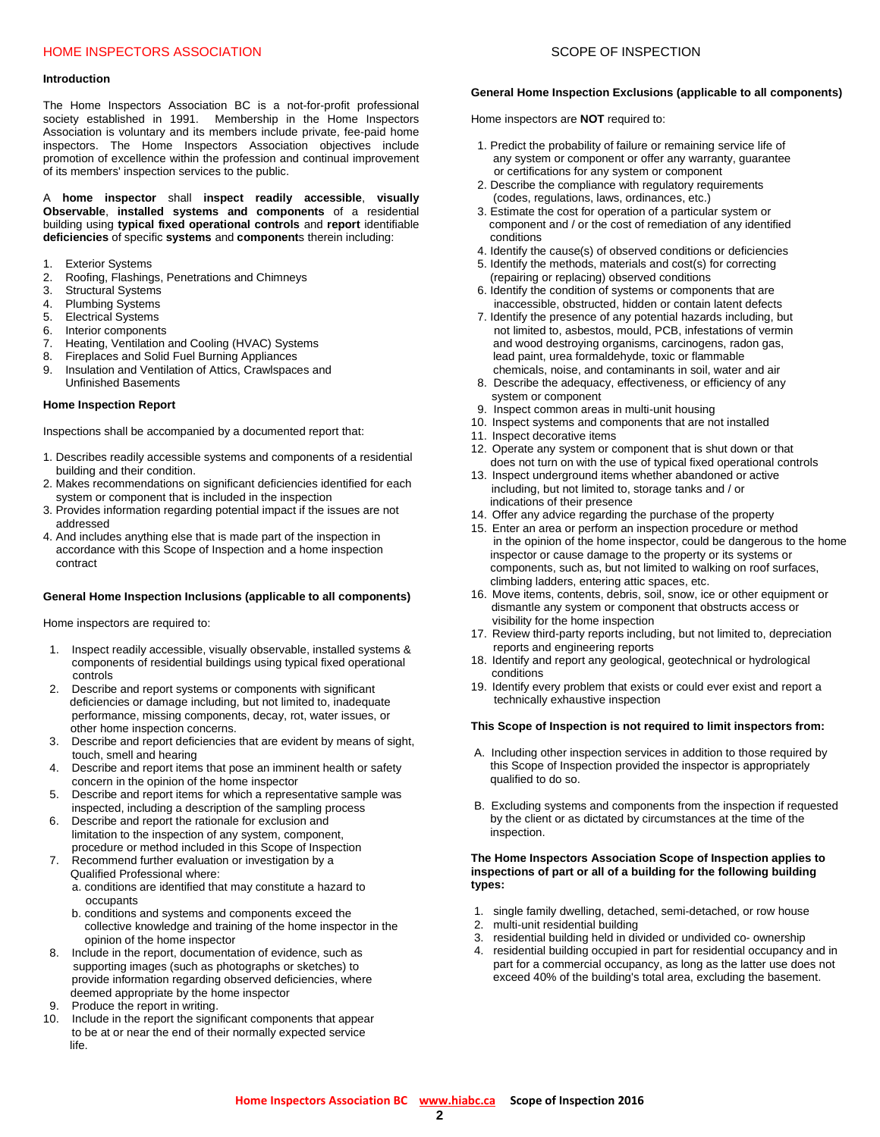#### **Introduction**

The Home Inspectors Association BC is a not-for-profit professional society established in 1991. Membership in the Home Inspectors Association is voluntary and its members include private, fee-paid home inspectors. The Home Inspectors Association objectives include promotion of excellence within the profession and continual improvement of its members' inspection services to the public.

A **home inspector** shall **inspect readily accessible**, **visually Observable**, **installed systems and components** of a residential building using **typical fixed operational controls** and **report** identifiable **deficiencies** of specific **systems** and **component**s therein including:

- 1. Exterior Systems<br>2. Roofing, Flashing
- 2. Roofing, Flashings, Penetrations and Chimneys
- 3. Structural Systems
- 4. Plumbing Systems
- 5. Electrical Systems<br>6. Interior components
- Interior components
- 7. Heating, Ventilation and Cooling (HVAC) Systems
- 8. Fireplaces and Solid Fuel Burning Appliances
- 9. Insulation and Ventilation of Attics, Crawlspaces and Unfinished Basements

#### **Home Inspection Report**

Inspections shall be accompanied by a documented report that:

- 1. Describes readily accessible systems and components of a residential building and their condition.
- 2. Makes recommendations on significant deficiencies identified for each system or component that is included in the inspection
- 3. Provides information regarding potential impact if the issues are not addressed
- 4. And includes anything else that is made part of the inspection in accordance with this Scope of Inspection and a home inspection contract

#### **General Home Inspection Inclusions (applicable to all components)**

Home inspectors are required to:

- 1. Inspect readily accessible, visually observable, installed systems & components of residential buildings using typical fixed operational controls
- 2. Describe and report systems or components with significant deficiencies or damage including, but not limited to, inadequate performance, missing components, decay, rot, water issues, or other home inspection concerns.
- 3. Describe and report deficiencies that are evident by means of sight, touch, smell and hearing
- 4. Describe and report items that pose an imminent health or safety concern in the opinion of the home inspector
- 5. Describe and report items for which a representative sample was inspected, including a description of the sampling process
- 6. Describe and report the rationale for exclusion and limitation to the inspection of any system, component, procedure or method included in this Scope of Inspection
- 7. Recommend further evaluation or investigation by a Qualified Professional where:
	- a. conditions are identified that may constitute a hazard to occupants
	- b. conditions and systems and components exceed the collective knowledge and training of the home inspector in the opinion of the home inspector
- 8. Include in the report, documentation of evidence, such as supporting images (such as photographs or sketches) to provide information regarding observed deficiencies, where deemed appropriate by the home inspector
- 9. Produce the report in writing.
- 10. Include in the report the significant components that appear to be at or near the end of their normally expected service life.

#### **General Home Inspection Exclusions (applicable to all components)**

Home inspectors are **NOT** required to:

- 1. Predict the probability of failure or remaining service life of any system or component or offer any warranty, guarantee or certifications for any system or component
- 2. Describe the compliance with regulatory requirements (codes, regulations, laws, ordinances, etc.)
- 3. Estimate the cost for operation of a particular system or component and / or the cost of remediation of any identified conditions
- 4. Identify the cause(s) of observed conditions or deficiencies
- 5. Identify the methods, materials and cost(s) for correcting (repairing or replacing) observed conditions
- 6. Identify the condition of systems or components that are inaccessible, obstructed, hidden or contain latent defects
- 7. Identify the presence of any potential hazards including, but not limited to, asbestos, mould, PCB, infestations of vermin and wood destroying organisms, carcinogens, radon gas, lead paint, urea formaldehyde, toxic or flammable chemicals, noise, and contaminants in soil, water and air
- 8. Describe the adequacy, effectiveness, or efficiency of any system or component
- 9. Inspect common areas in multi-unit housing
- 10. Inspect systems and components that are not installed
- 11. Inspect decorative items
- 12. Operate any system or component that is shut down or that does not turn on with the use of typical fixed operational controls
- 13. Inspect underground items whether abandoned or active including, but not limited to, storage tanks and / or indications of their presence
- 14. Offer any advice regarding the purchase of the property
- 15. Enter an area or perform an inspection procedure or method in the opinion of the home inspector, could be dangerous to the home inspector or cause damage to the property or its systems or components, such as, but not limited to walking on roof surfaces, climbing ladders, entering attic spaces, etc.
- 16. Move items, contents, debris, soil, snow, ice or other equipment or dismantle any system or component that obstructs access or visibility for the home inspection
- 17. Review third-party reports including, but not limited to, depreciation reports and engineering reports
- 18. Identify and report any geological, geotechnical or hydrological conditions
- 19. Identify every problem that exists or could ever exist and report a technically exhaustive inspection

#### **This Scope of Inspection is not required to limit inspectors from:**

- A. Including other inspection services in addition to those required by this Scope of Inspection provided the inspector is appropriately qualified to do so.
- B. Excluding systems and components from the inspection if requested by the client or as dictated by circumstances at the time of the inspection.

#### **The Home Inspectors Association Scope of Inspection applies to inspections of part or all of a building for the following building types:**

- 1. single family dwelling, detached, semi-detached, or row house
- multi-unit residential building
- 3. residential building held in divided or undivided co- ownership
- 4. residential building occupied in part for residential occupancy and in part for a commercial occupancy, as long as the latter use does not exceed 40% of the building's total area, excluding the basement.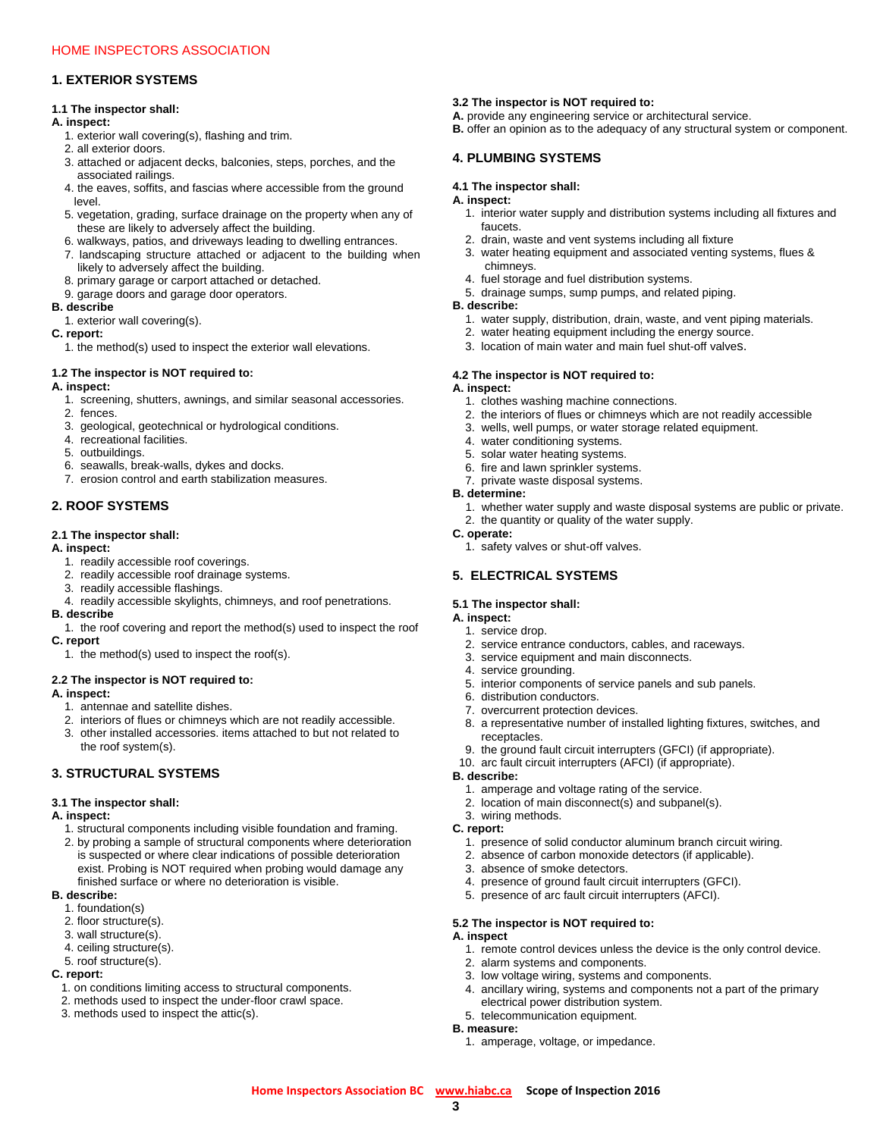# **1. EXTERIOR SYSTEMS**

# **1.1 The inspector shall:**

# **A. inspect:**

- 1. exterior wall covering(s), flashing and trim.
- 2. all exterior doors.
- 3. attached or adjacent decks, balconies, steps, porches, and the associated railings.
- 4. the eaves, soffits, and fascias where accessible from the ground level.
- 5. vegetation, grading, surface drainage on the property when any of these are likely to adversely affect the building.
- 6. walkways, patios, and driveways leading to dwelling entrances.
- 7. landscaping structure attached or adjacent to the building when likely to adversely affect the building.
- 8. primary garage or carport attached or detached.
- 9. garage doors and garage door operators.
- **B. describe** 1. exterior wall covering(s).

# **C. report:**

1. the method(s) used to inspect the exterior wall elevations.

## **1.2 The inspector is NOT required to:**

## **A. inspect:**

- 1. screening, shutters, awnings, and similar seasonal accessories. 2. fences.
- 3. geological, geotechnical or hydrological conditions.
- 4. recreational facilities.
- 5. outbuildings.
- 6. seawalls, break-walls, dykes and docks.
- 7. erosion control and earth stabilization measures.

# **2. ROOF SYSTEMS**

# **2.1 The inspector shall:**

## **A. inspect:**

- 1. readily accessible roof coverings.
- 2. readily accessible roof drainage systems.
- 3. readily accessible flashings.
- 4. readily accessible skylights, chimneys, and roof penetrations.
- **B. describe**
- 1. the roof covering and report the method(s) used to inspect the roof **C. report** 
	- 1. the method(s) used to inspect the roof(s).

## **2.2 The inspector is NOT required to:**

## **A. inspect:**

- 1. antennae and satellite dishes.
- 2. interiors of flues or chimneys which are not readily accessible.
- 3. other installed accessories. items attached to but not related to the roof system(s).

# **3. STRUCTURAL SYSTEMS**

# **3.1 The inspector shall:**

## **A. inspect:**

- 1. structural components including visible foundation and framing. 2. by probing a sample of structural components where deterioration is suspected or where clear indications of possible deterioration
- exist. Probing is NOT required when probing would damage any finished surface or where no deterioration is visible.

# **B. describe:**

- 1. foundation(s)
- 2. floor structure(s).
- 3. wall structure(s).
- 4. ceiling structure(s).
- 5. roof structure(s).

# **C. report:**

- 1. on conditions limiting access to structural components.
- 2. methods used to inspect the under-floor crawl space.
- 3. methods used to inspect the attic(s).

# **3.2 The inspector is NOT required to:**

- **A.** provide any engineering service or architectural service.
- **B.** offer an opinion as to the adequacy of any structural system or component.

# **4. PLUMBING SYSTEMS**

## **4.1 The inspector shall:**

## **A. inspect:**

- 1. interior water supply and distribution systems including all fixtures and faucets.
- 2. drain, waste and vent systems including all fixture
- 3. water heating equipment and associated venting systems, flues & chimneys.
- 4. fuel storage and fuel distribution systems.
- 5. drainage sumps, sump pumps, and related piping.

## **B. describe:**

- 1. water supply, distribution, drain, waste, and vent piping materials.
- 2. water heating equipment including the energy source.
- 3. location of main water and main fuel shut-off valves.

# **4.2 The inspector is NOT required to:**

## **A. inspect:**

- 1. clothes washing machine connections.
- 2. the interiors of flues or chimneys which are not readily accessible
- 3. wells, well pumps, or water storage related equipment.
- 4. water conditioning systems.
- 5. solar water heating systems.
- 6. fire and lawn sprinkler systems.
- 7. private waste disposal systems.
- **B. determine:** 
	- 1. whether water supply and waste disposal systems are public or private. 2. the quantity or quality of the water supply.

# **C. operate:**

1. safety valves or shut-off valves.

# **5. ELECTRICAL SYSTEMS**

# **5.1 The inspector shall:**

- **A. inspect:** 
	- 1. service drop.
	- 2. service entrance conductors, cables, and raceways.
	- 3. service equipment and main disconnects.
	- 4. service grounding.
	- 5. interior components of service panels and sub panels.
	- 6. distribution conductors.

3. absence of smoke detectors.

**5.2 The inspector is NOT required to:** 

2. alarm systems and components.

3. low voltage wiring, systems and components.

 electrical power distribution system. 5. telecommunication equipment.

1. amperage, voltage, or impedance.

- 7. overcurrent protection devices.
- 8. a representative number of installed lighting fixtures, switches, and receptacles.

1. remote control devices unless the device is the only control device.

4. ancillary wiring, systems and components not a part of the primary

- 9. the ground fault circuit interrupters (GFCI) (if appropriate).
- 10. arc fault circuit interrupters (AFCI) (if appropriate).

#### **B. describe:**

- 1. amperage and voltage rating of the service.
	- 2. location of main disconnect(s) and subpanel(s).

2. absence of carbon monoxide detectors (if applicable).

 4. presence of ground fault circuit interrupters (GFCI). 5. presence of arc fault circuit interrupters (AFCI).

3. wiring methods.

#### **C. report:**  1. presence of solid conductor aluminum branch circuit wiring.

**A. inspect** 

**B. measure:** 

**Home Inspectors Association BC www.hiabc.ca Scope of Inspection 2016 3**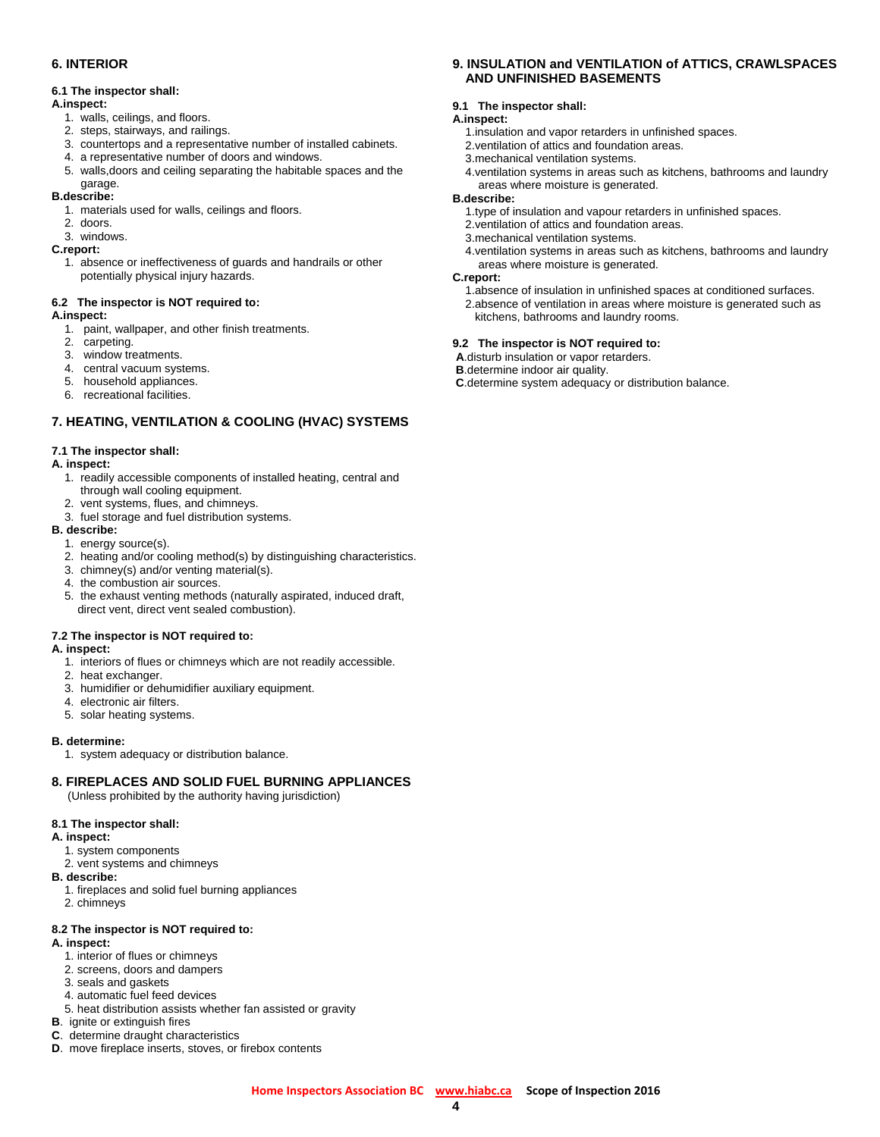# **6. INTERIOR**

# **6.1 The inspector shall:**

## **A.inspect:**

- 1. walls, ceilings, and floors.
- 2. steps, stairways, and railings.
- 3. countertops and a representative number of installed cabinets.
- 4. a representative number of doors and windows.
- 5. walls,doors and ceiling separating the habitable spaces and the garage.

# **B.describe:**

- 1. materials used for walls, ceilings and floors.
- 2. doors.
- 3. windows.

# **C.report:**

1. absence or ineffectiveness of guards and handrails or other potentially physical injury hazards.

# **6.2 The inspector is NOT required to:**

## **A.inspect:**

- 1. paint, wallpaper, and other finish treatments.
- 2. carpeting.
- 3. window treatments.
- 4. central vacuum systems.
- 5. household appliances.
- 6. recreational facilities.

# **7. HEATING, VENTILATION & COOLING (HVAC) SYSTEMS**

# **7.1 The inspector shall:**

## **A. inspect:**

- 1. readily accessible components of installed heating, central and through wall cooling equipment.
- 2. vent systems, flues, and chimneys.
- 3. fuel storage and fuel distribution systems.

# **B. describe:**

- 1. energy source(s).
- 2. heating and/or cooling method(s) by distinguishing characteristics.
- 3. chimney(s) and/or venting material(s).
- 4. the combustion air sources.
- 5. the exhaust venting methods (naturally aspirated, induced draft, direct vent, direct vent sealed combustion).

# **7.2 The inspector is NOT required to:**

# **A. inspect:**

- 1. interiors of flues or chimneys which are not readily accessible.
- 2. heat exchanger.
- 3. humidifier or dehumidifier auxiliary equipment.
- 4. electronic air filters.
- 5. solar heating systems.

## **B. determine:**

1. system adequacy or distribution balance.

# **8. FIREPLACES AND SOLID FUEL BURNING APPLIANCES**

(Unless prohibited by the authority having jurisdiction)

# **8.1 The inspector shall:**

# **A. inspect:**

- 1. system components
- 2. vent systems and chimneys
- **B. describe:** 
	- 1. fireplaces and solid fuel burning appliances
	- 2. chimneys

## **8.2 The inspector is NOT required to:**

#### **A. inspect:**

- 1. interior of flues or chimneys
- 2. screens, doors and dampers
- 3. seals and gaskets
- 4. automatic fuel feed devices
- 5. heat distribution assists whether fan assisted or gravity
- **B**. ignite or extinguish fires
- **C**. determine draught characteristics
- **D**. move fireplace inserts, stoves, or firebox contents

# **9. INSULATION and VENTILATION of ATTICS, CRAWLSPACES AND UNFINISHED BASEMENTS**

**9.1 The inspector shall:** 

# **A.inspect:**

- 1.insulation and vapor retarders in unfinished spaces.
- 2.ventilation of attics and foundation areas.
- 3.mechanical ventilation systems.
- 4.ventilation systems in areas such as kitchens, bathrooms and laundry areas where moisture is generated.

## **B.describe:**

- 1.type of insulation and vapour retarders in unfinished spaces.
- 2.ventilation of attics and foundation areas.
- 3.mechanical ventilation systems.
- 4.ventilation systems in areas such as kitchens, bathrooms and laundry areas where moisture is generated.

## **C.report:**

 1.absence of insulation in unfinished spaces at conditioned surfaces. 2.absence of ventilation in areas where moisture is generated such as kitchens, bathrooms and laundry rooms.

# **9.2 The inspector is NOT required to:**

**A**.disturb insulation or vapor retarders.

- **B**.determine indoor air quality.
- **C**.determine system adequacy or distribution balance.